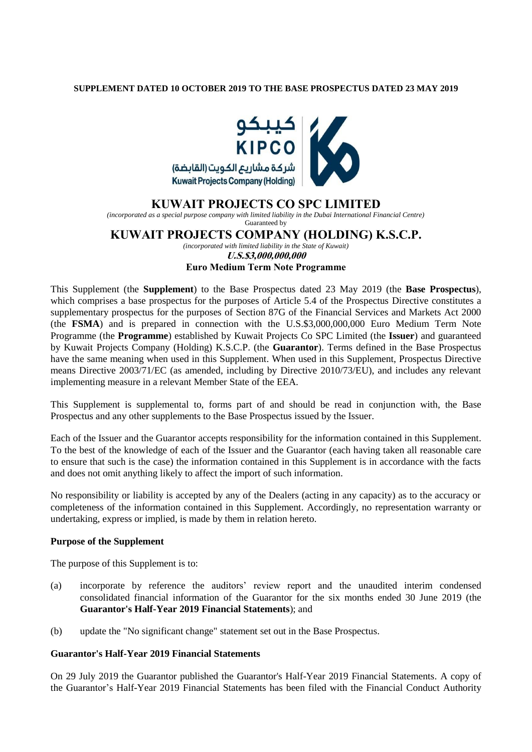### **SUPPLEMENT DATED 10 OCTOBER 2019 TO THE BASE PROSPECTUS DATED 23 MAY 2019**



## **KUWAIT PROJECTS CO SPC LIMITED**

*(incorporated as a special purpose company with limited liability in the Dubai International Financial Centre)* Guaranteed by

# **KUWAIT PROJECTS COMPANY (HOLDING) K.S.C.P.**

*(incorporated with limited liability in the State of Kuwait)*

**U.S.\$3,000,000,000**

#### **Euro Medium Term Note Programme**

This Supplement (the **Supplement**) to the Base Prospectus dated 23 May 2019 (the **Base Prospectus**), which comprises a base prospectus for the purposes of Article 5.4 of the Prospectus Directive constitutes a supplementary prospectus for the purposes of Section 87G of the Financial Services and Markets Act 2000 (the **FSMA**) and is prepared in connection with the U.S.\$3,000,000,000 Euro Medium Term Note Programme (the **Programme**) established by Kuwait Projects Co SPC Limited (the **Issuer**) and guaranteed by Kuwait Projects Company (Holding) K.S.C.P. (the **Guarantor**). Terms defined in the Base Prospectus have the same meaning when used in this Supplement. When used in this Supplement, Prospectus Directive means Directive 2003/71/EC (as amended, including by Directive 2010/73/EU), and includes any relevant implementing measure in a relevant Member State of the EEA.

This Supplement is supplemental to, forms part of and should be read in conjunction with, the Base Prospectus and any other supplements to the Base Prospectus issued by the Issuer.

Each of the Issuer and the Guarantor accepts responsibility for the information contained in this Supplement. To the best of the knowledge of each of the Issuer and the Guarantor (each having taken all reasonable care to ensure that such is the case) the information contained in this Supplement is in accordance with the facts and does not omit anything likely to affect the import of such information.

No responsibility or liability is accepted by any of the Dealers (acting in any capacity) as to the accuracy or completeness of the information contained in this Supplement. Accordingly, no representation warranty or undertaking, express or implied, is made by them in relation hereto.

#### **Purpose of the Supplement**

The purpose of this Supplement is to:

- (a) incorporate by reference the auditors' review report and the unaudited interim condensed consolidated financial information of the Guarantor for the six months ended 30 June 2019 (the **Guarantor's Half-Year 2019 Financial Statements**); and
- (b) update the "No significant change" statement set out in the Base Prospectus.

#### **Guarantor's Half-Year 2019 Financial Statements**

On 29 July 2019 the Guarantor published the Guarantor's Half-Year 2019 Financial Statements. A copy of the Guarantor's Half-Year 2019 Financial Statements has been filed with the Financial Conduct Authority